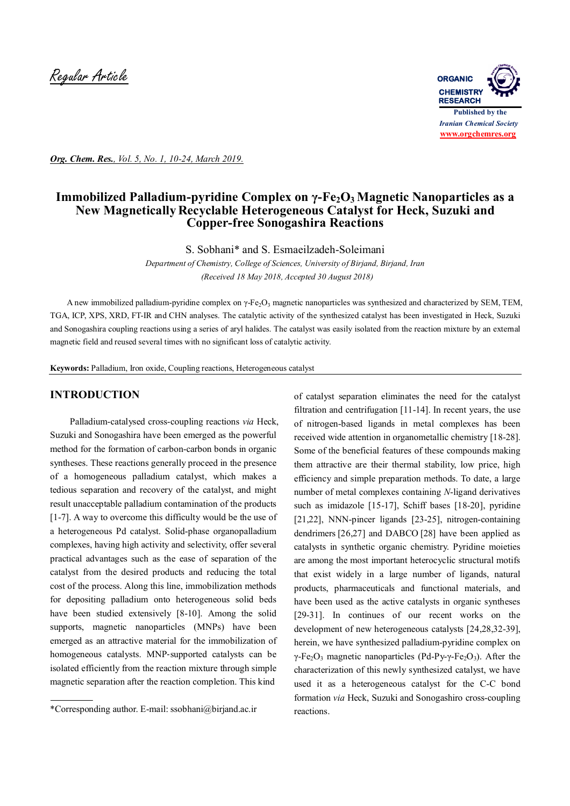

*Org. Chem. Res., Vol. 5, No. 1, 10-24, March 2019.*

# **Immobilized Palladium-pyridine Complex on γ-Fe2O3 Magnetic Nanoparticles as a New Magnetically Recyclable Heterogeneous Catalyst for Heck, Suzuki and Copper-free Sonogashira Reactions**

S. Sobhani\* and S. Esmaeilzadeh-Soleimani

*Department of Chemistry, College of Sciences, University of Birjand, Birjand, Iran (Received 18 May 2018, Accepted 30 August 2018)*

A new immobilized palladium-pyridine complex on γ-Fe<sub>2</sub>O<sub>3</sub> magnetic nanoparticles was synthesized and characterized by SEM, TEM, TGA, ICP, XPS, XRD, FT-IR and CHN analyses. The catalytic activity of the synthesized catalyst has been investigated in Heck, Suzuki and Sonogashira coupling reactions using a series of aryl halides. The catalyst was easily isolated from the reaction mixture by an external magnetic field and reused several times with no significant loss of catalytic activity.

**Keywords:** Palladium, Iron oxide, Coupling reactions, Heterogeneous catalyst

#### **INTRODUCTION**

Palladium-catalysed cross-coupling reactions *via* Heck, Suzuki and Sonogashira have been emerged as the powerful method for the formation of carbon-carbon bonds in organic syntheses. These reactions generally proceed in the presence of a homogeneous palladium catalyst, which makes a tedious separation and recovery of the catalyst, and might result unacceptable palladium contamination of the products [1-7]. A way to overcome this difficulty would be the use of a heterogeneous Pd catalyst. Solid-phase organopalladium complexes, having high activity and selectivity, offer several practical advantages such as the ease of separation of the catalyst from the desired products and reducing the total cost of the process. Along this line, immobilization methods for depositing palladium onto heterogeneous solid beds have been studied extensively [8-10]. Among the solid supports, magnetic nanoparticles (MNPs) have been emerged as an attractive material for the immobilization of homogeneous catalysts. MNP‐supported catalysts can be isolated efficiently from the reaction mixture through simple magnetic separation after the reaction completion. This kind

of catalyst separation eliminates the need for the catalyst filtration and centrifugation [11-14]. In recent years, the use of nitrogen-based ligands in metal complexes has been received wide attention in organometallic chemistry [18-28]. Some of the beneficial features of these compounds making them attractive are their thermal stability, low price, high efficiency and simple preparation methods. To date, a large number of metal complexes containing *N*-ligand derivatives such as imidazole [15-17], Schiff bases [18-20], pyridine [21,22], NNN-pincer ligands [23-25], nitrogen-containing dendrimers [26,27] and DABCO [28] have been applied as catalysts in synthetic organic chemistry. Pyridine moieties are among the most important heterocyclic structural motifs that exist widely in a large number of ligands, natural products, pharmaceuticals and functional materials, and have been used as the active catalysts in organic syntheses [29-31]. In continues of our recent works on the development of new heterogeneous catalysts [24,28,32-39], herein, we have synthesized palladium-pyridine complex on γ-Fe<sub>2</sub>O<sub>3</sub> magnetic nanoparticles (Pd-Py-γ-Fe<sub>2</sub>O<sub>3</sub>). After the characterization of this newly synthesized catalyst, we have used it as a heterogeneous catalyst for the C-C bond formation *via* Heck, Suzuki and Sonogashiro cross-coupling reactions.

<sup>\*</sup>Corresponding author. E-mail: ssobhani@birjand.ac.ir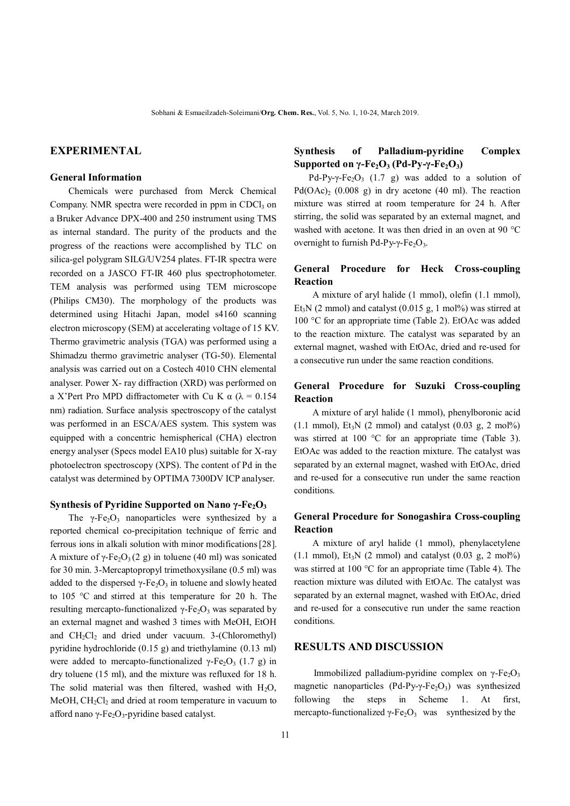## **EXPERIMENTAL**

#### **General Information**

 Chemicals were purchased from Merck Chemical Company. NMR spectra were recorded in ppm in CDCl<sub>3</sub> on a Bruker Advance DPX-400 and 250 instrument using TMS as internal standard. The purity of the products and the progress of the reactions were accomplished by TLC on silica-gel polygram SILG/UV254 plates. FT-IR spectra were recorded on a JASCO FT-IR 460 plus spectrophotometer. TEM analysis was performed using TEM microscope (Philips CM30). The morphology of the products was determined using Hitachi Japan, model s4160 scanning electron microscopy (SEM) at accelerating voltage of 15 KV. Thermo gravimetric analysis (TGA) was performed using a Shimadzu thermo gravimetric analyser (TG-50). Elemental analysis was carried out on a Costech 4010 CHN elemental analyser. Power X- ray diffraction (XRD) was performed on a X'Pert Pro MPD diffractometer with Cu K α (λ = 0.154 nm) radiation. Surface analysis spectroscopy of the catalyst was performed in an ESCA/AES system. This system was equipped with a concentric hemispherical (CHA) electron energy analyser (Specs model EA10 plus) suitable for X-ray photoelectron spectroscopy (XPS). The content of Pd in the catalyst was determined by OPTIMA 7300DV ICP analyser.

#### **Synthesis of Pyridine Supported on Nano γ-Fe2O<sup>3</sup>**

The  $\gamma$ -Fe<sub>2</sub>O<sub>3</sub> nanoparticles were synthesized by a reported chemical co-precipitation technique of ferric and ferrous ions in alkali solution with minor modifications[28]. A mixture of  $\gamma$ -Fe<sub>2</sub>O<sub>3</sub> (2 g) in toluene (40 ml) was sonicated for 30 min. 3-Mercaptopropyl trimethoxysilane (0.5 ml) was added to the dispersed  $\gamma$ -Fe<sub>2</sub>O<sub>3</sub> in toluene and slowly heated to 105 °C and stirred at this temperature for 20 h. The resulting mercapto-functionalized  $γ$ -Fe<sub>2</sub>O<sub>3</sub> was separated by an external magnet and washed 3 times with MeOH, EtOH and  $CH_2Cl_2$  and dried under vacuum. 3-(Chloromethyl) pyridine hydrochloride (0.15 g) and triethylamine (0.13 ml) were added to mercapto-functionalized  $\gamma$ -Fe<sub>2</sub>O<sub>3</sub> (1.7 g) in dry toluene (15 ml), and the mixture was refluxed for 18 h. The solid material was then filtered, washed with  $H_2O$ , MeOH,  $CH<sub>2</sub>Cl<sub>2</sub>$  and dried at room temperature in vacuum to afford nano γ-Fe<sub>2</sub>O<sub>3</sub>-pyridine based catalyst.

# **Synthesis of Palladium-pyridine Complex Supported on**  $\gamma$ **-Fe<sub>2</sub>O<sub>3</sub>** (Pd-Py- $\gamma$ -Fe<sub>2</sub>O<sub>3</sub>)

Pd-Py- $\gamma$ -Fe<sub>2</sub>O<sub>3</sub> (1.7 g) was added to a solution of  $Pd(OAc)_2$  (0.008 g) in dry acetone (40 ml). The reaction mixture was stirred at room temperature for 24 h. After stirring, the solid was separated by an external magnet, and washed with acetone. It was then dried in an oven at 90 °C overnight to furnish Pd-Py-γ-Fe<sub>2</sub>O<sub>3</sub>.

## **General Procedure for Heck Cross-coupling Reaction**

 A mixture of aryl halide (1 mmol), olefin (1.1 mmol), Et<sub>3</sub>N (2 mmol) and catalyst  $(0.015 \text{ g}, 1 \text{ mol})$ % was stirred at 100 °C for an appropriate time (Table 2). EtOAc was added to the reaction mixture. The catalyst was separated by an external magnet, washed with EtOAc, dried and re-used for a consecutive run under the same reaction conditions.

### **General Procedure for Suzuki Cross-coupling Reaction**

 A mixture of aryl halide (1 mmol), phenylboronic acid (1.1 mmol),  $Et_3N$  (2 mmol) and catalyst (0.03 g, 2 mol%) was stirred at 100 °C for an appropriate time (Table 3). EtOAc was added to the reaction mixture. The catalyst was separated by an external magnet, washed with EtOAc, dried and re-used for a consecutive run under the same reaction conditions.

#### **General Procedure for Sonogashira Cross-coupling Reaction**

 A mixture of aryl halide (1 mmol), phenylacetylene  $(1.1 \text{ mmol})$ , Et<sub>3</sub>N  $(2 \text{ mmol})$  and catalyst  $(0.03 \text{ g}, 2 \text{ mol})$ % was stirred at 100 °C for an appropriate time (Table 4). The reaction mixture was diluted with EtOAc. The catalyst was separated by an external magnet, washed with EtOAc, dried and re-used for a consecutive run under the same reaction conditions.

### **RESULTS AND DISCUSSION**

Immobilized palladium-pyridine complex on  $γ$ -Fe<sub>2</sub>O<sub>3</sub> magnetic nanoparticles  $(Pd-Py-\gamma-Fe<sub>2</sub>O<sub>3</sub>)$  was synthesized following the steps in Scheme 1. At first, mercapto-functionalized  $\gamma$ -Fe<sub>2</sub>O<sub>3</sub> was synthesized by the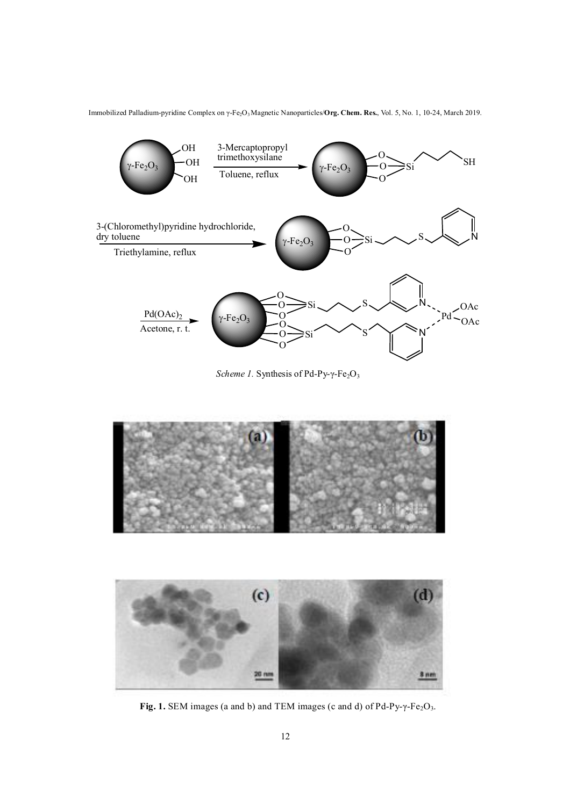

Fig. 1. SEM images (a and b) and TEM images (c and d) of Pd-Py-γ-Fe<sub>2</sub>O<sub>3</sub>.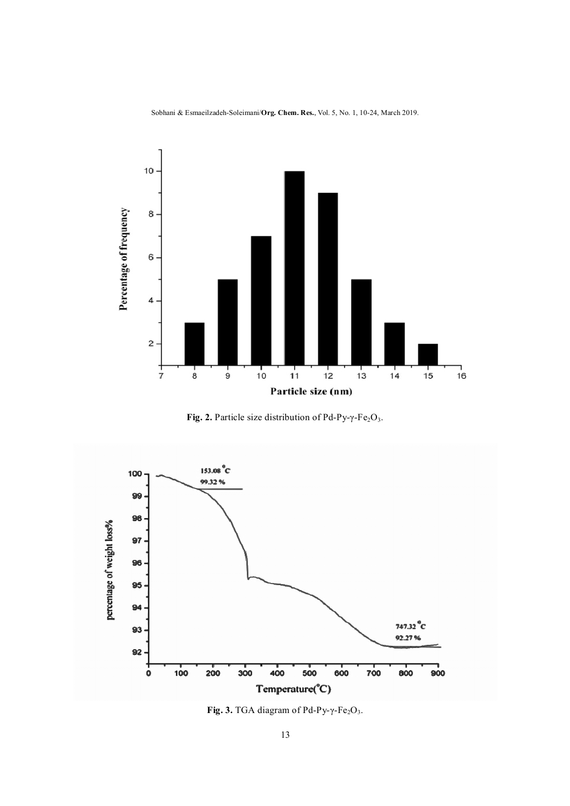Sobhani & Esmaeilzadeh-Soleimani/**Org. Chem. Res.**, Vol. 5, No. 1, 10-24, March 2019.







**Fig. 3.** TGA diagram of Pd-Py-γ-Fe<sub>2</sub>O<sub>3</sub>.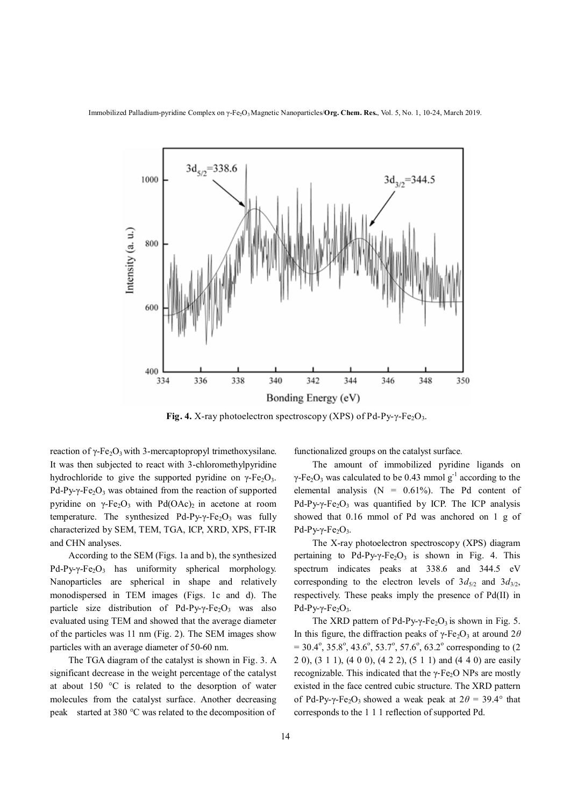

**Fig. 4.** X-ray photoelectron spectroscopy (XPS) of Pd-Py- $\gamma$ -Fe<sub>2</sub>O<sub>3</sub>.

reaction of  $\gamma$ -Fe<sub>2</sub>O<sub>3</sub> with 3-mercaptopropyl trimethoxysilane. It was then subjected to react with 3-chloromethylpyridine hydrochloride to give the supported pyridine on  $\gamma$ -Fe<sub>2</sub>O<sub>3</sub>. Pd-Py- $\gamma$ -Fe<sub>2</sub>O<sub>3</sub> was obtained from the reaction of supported pyridine on γ-Fe<sub>2</sub>O<sub>3</sub> with Pd(OAc)<sub>2</sub> in acetone at room temperature. The synthesized Pd-Py- $\gamma$ -Fe<sub>2</sub>O<sub>3</sub> was fully characterized by SEM, TEM, TGA, ICP, XRD, XPS, FT-IR and CHN analyses.

 According to the SEM (Figs. 1a and b), the synthesized Pd-Py- $\gamma$ -Fe<sub>2</sub>O<sub>3</sub> has uniformity spherical morphology. Nanoparticles are spherical in shape and relatively monodispersed in TEM images (Figs. 1c and d). The particle size distribution of Pd-Py- $\gamma$ -Fe<sub>2</sub>O<sub>3</sub> was also evaluated using TEM and showed that the average diameter of the particles was 11 nm (Fig. 2). The SEM images show particles with an average diameter of 50-60 nm.

 The TGA diagram of the catalyst is shown in Fig. 3. A significant decrease in the weight percentage of the catalyst at about 150 °C is related to the desorption of water molecules from the catalyst surface. Another decreasing peak started at 380 °C was related to the decomposition of

functionalized groups on the catalyst surface.

 The amount of immobilized pyridine ligands on  $\gamma$ -Fe<sub>2</sub>O<sub>3</sub> was calculated to be 0.43 mmol g<sup>-1</sup> according to the elemental analysis  $(N = 0.61\%)$ . The Pd content of Pd-Py- $\gamma$ -Fe<sub>2</sub>O<sub>3</sub> was quantified by ICP. The ICP analysis showed that 0.16 mmol of Pd was anchored on 1 g of Pd-Pv-γ-Fe<sub>2</sub>O<sub>3</sub>.

 The X-ray photoelectron spectroscopy (XPS) diagram pertaining to Pd-Py- $\gamma$ -Fe<sub>2</sub>O<sub>3</sub> is shown in Fig. 4. This spectrum indicates peaks at 338.6 and 344.5 eV corresponding to the electron levels of  $3d_{5/2}$  and  $3d_{3/2}$ , respectively. These peaks imply the presence of Pd(II) in Pd-Py-γ-Fe<sub>2</sub>O<sub>3</sub>.

The XRD pattern of Pd-Py- $\gamma$ -Fe<sub>2</sub>O<sub>3</sub> is shown in Fig. 5. In this figure, the diffraction peaks of  $\gamma$ -Fe<sub>2</sub>O<sub>3</sub> at around 2*θ*  $= 30.4^{\circ}, 35.8^{\circ}, 43.6^{\circ}, 53.7^{\circ}, 57.6^{\circ}, 63.2^{\circ}$  corresponding to (2) 2 0), (3 1 1), (4 0 0), (4 2 2), (5 1 1) and (4 4 0) are easily recognizable. This indicated that the  $\gamma$ -Fe<sub>2</sub>O NPs are mostly existed in the face centred cubic structure. The XRD pattern of Pd-Py-γ-Fe<sub>2</sub>O<sub>3</sub> showed a weak peak at  $2\theta = 39.4^{\circ}$  that corresponds to the 1 1 1 reflection of supported Pd.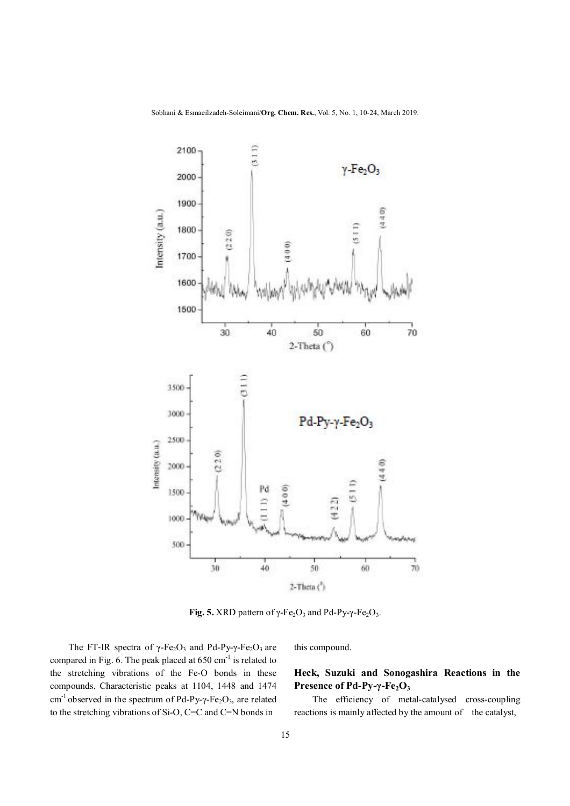Sobhani & Esmaeilzadeh-Soleimani/**Org. Chem. Res.**, Vol. 5, No. 1, 10-24, March 2019.



**Fig. 5.** XRD pattern of  $\gamma$ -Fe<sub>2</sub>O<sub>3</sub> and Pd-Py- $\gamma$ -Fe<sub>2</sub>O<sub>3</sub>.

The FT-IR spectra of  $\gamma$ -Fe<sub>2</sub>O<sub>3</sub> and Pd-Py- $\gamma$ -Fe<sub>2</sub>O<sub>3</sub> are compared in Fig. 6. The peak placed at  $650 \text{ cm}^{-1}$  is related to the stretching vibrations of the Fe-O bonds in these compounds. Characteristic peaks at 1104, 1448 and 1474 cm<sup>-1</sup> observed in the spectrum of Pd-Py- $\gamma$ -Fe<sub>2</sub>O<sub>3</sub>, are related to the stretching vibrations of Si-O, C=C and C=N bonds in

this compound.

## **Heck, Suzuki and Sonogashira Reactions in the Presence of Pd-Py-γ-Fe2O<sup>3</sup>**

 The efficiency of metal-catalysed cross-coupling reactions is mainly affected by the amount of the catalyst,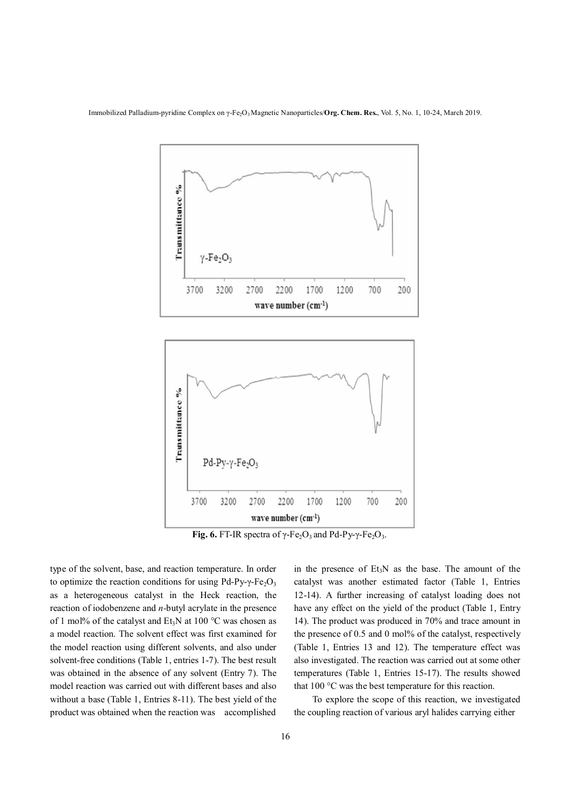



**Fig. 6.** FT-IR spectra of  $\gamma$ -Fe<sub>2</sub>O<sub>3</sub> and Pd-Py- $\gamma$ -Fe<sub>2</sub>O<sub>3</sub>.

type of the solvent, base, and reaction temperature. In order to optimize the reaction conditions for using Pd-Py- $\gamma$ -Fe<sub>2</sub>O<sub>3</sub> as a heterogeneous catalyst in the Heck reaction, the reaction of iodobenzene and *n-*butyl acrylate in the presence of 1 mol% of the catalyst and  $Et_3N$  at 100 °C was chosen as a model reaction. The solvent effect was first examined for the model reaction using different solvents, and also under solvent-free conditions (Table 1, entries 1-7). The best result was obtained in the absence of any solvent (Entry 7). The model reaction was carried out with different bases and also without a base (Table 1, Entries 8-11). The best yield of the product was obtained when the reaction was accomplished

in the presence of Et<sub>3</sub>N as the base. The amount of the catalyst was another estimated factor (Table 1, Entries 12-14). A further increasing of catalyst loading does not have any effect on the yield of the product (Table 1, Entry 14). The product was produced in 70% and trace amount in the presence of 0.5 and 0 mol% of the catalyst, respectively (Table 1, Entries 13 and 12). The temperature effect was also investigated. The reaction was carried out at some other temperatures (Table 1, Entries 15-17). The results showed that 100 °C was the best temperature for this reaction.

 To explore the scope of this reaction, we investigated the coupling reaction of various aryl halides carrying either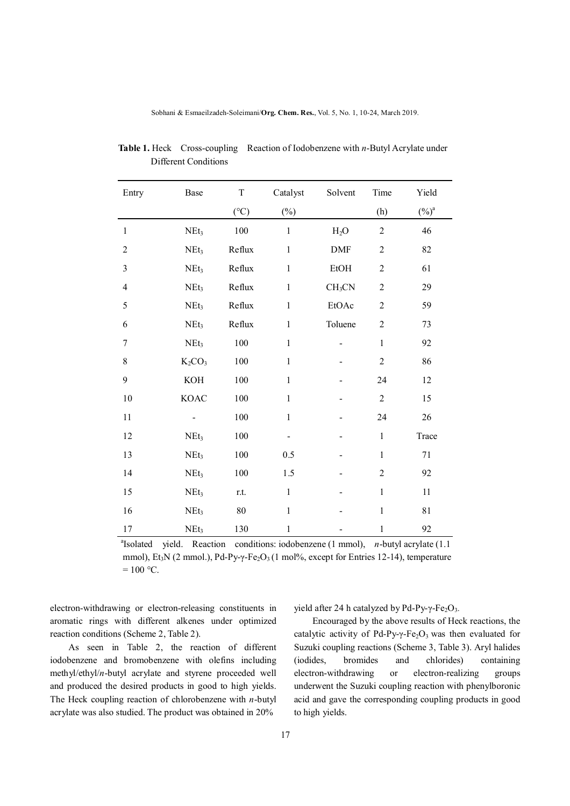|                         |                                | $\mathbf T$     |                              |                    |                |          |  |
|-------------------------|--------------------------------|-----------------|------------------------------|--------------------|----------------|----------|--|
| Entry                   | Base                           |                 | Catalyst                     | Solvent            | Time           | Yield    |  |
|                         |                                | $({}^{\circ}C)$ | $(\%)$                       |                    | (h)            | $(\%)^a$ |  |
| $\mathbf{1}$            | NEt <sub>3</sub>               | 100             | $\mathbf{1}$                 | $H_2O$             | $\overline{2}$ | 46       |  |
| $\overline{2}$          | $NEt_3$                        | Reflux          | $\mathbf{1}$                 | <b>DMF</b>         | $\overline{2}$ | 82       |  |
| $\overline{\mathbf{3}}$ | NEt <sub>3</sub>               | Reflux          | $\mathbf{1}$                 | EtOH               | $\overline{2}$ | 61       |  |
| $\overline{4}$          | NEt3                           | Reflux          | $\mathbf{1}$                 | CH <sub>3</sub> CN | $\overline{2}$ | 29       |  |
| 5                       | NEt <sub>3</sub>               | Reflux          | $\mathbf{1}$                 | EtOAc              | $\overline{2}$ | 59       |  |
| 6                       | NEt <sub>3</sub>               | Reflux          | $\,1$                        | Toluene            | $\overline{2}$ | 73       |  |
| 7                       | NEt <sub>3</sub>               | $100\,$         | $\mathbf{1}$                 |                    | $\mathbf{1}$   | 92       |  |
| 8                       | K <sub>2</sub> CO <sub>3</sub> | 100             | $\mathbf{1}$                 |                    | $\overline{2}$ | 86       |  |
| 9                       | $\,$ KOH $\,$                  | 100             | $\mathbf{1}$                 |                    | 24             | 12       |  |
| 10                      | <b>KOAC</b>                    | 100             | $\mathbf{1}$                 |                    | $\overline{2}$ | 15       |  |
| 11                      |                                | 100             | $\mathbf{1}$                 |                    | 24             | 26       |  |
| 12                      | NEt <sub>3</sub>               | 100             | $\qquad \qquad \blacksquare$ |                    | $\mathbf{1}$   | Trace    |  |
| 13                      | NEt <sub>3</sub>               | 100             | $0.5\,$                      |                    | $\mathbf{1}$   | 71       |  |
| 14                      | NEt <sub>3</sub>               | $100\,$         | $1.5\,$                      |                    | $\overline{2}$ | 92       |  |
| 15                      | NEt <sub>3</sub>               | r.t.            | $\mathbf{1}$                 |                    | $\mathbf{1}$   | 11       |  |
| 16                      | NEt <sub>3</sub>               | 80              | $\mathbf{1}$                 |                    | $\mathbf{1}$   | 81       |  |
| 17                      | NEt <sub>3</sub>               | 130             | $\mathbf{1}$                 |                    | $\mathbf{1}$   | 92       |  |

 **Table 1.** Heck Cross-coupling Reaction of Iodobenzene with *n*-Butyl Acrylate under Different Conditions

<sup>a</sup> Isolated yield. Reaction conditions: iodobenzene (1 mmol), *n*-butyl acrylate (1.1 mmol), Et<sub>3</sub>N (2 mmol.), Pd-Py-γ-Fe<sub>2</sub>O<sub>3</sub> (1 mol%, except for Entries 12-14), temperature  $= 100 °C$ .

electron-withdrawing or electron-releasing constituents in aromatic rings with different alkenes under optimized reaction conditions (Scheme 2, Table 2).

 As seen in Table 2, the reaction of different iodobenzene and bromobenzene with olefins including methyl/ethyl/*n*-butyl acrylate and styrene proceeded well and produced the desired products in good to high yields. The Heck coupling reaction of chlorobenzene with *n*-butyl acrylate was also studied. The product was obtained in 20%

yield after 24 h catalyzed by Pd-Py- $\gamma$ -Fe<sub>2</sub>O<sub>3</sub>.

 Encouraged by the above results of Heck reactions, the catalytic activity of Pd-Py- $\gamma$ -Fe<sub>2</sub>O<sub>3</sub> was then evaluated for Suzuki coupling reactions (Scheme 3, Table 3). Aryl halides (iodides, bromides and chlorides) containing electron-withdrawing or electron-realizing groups underwent the Suzuki coupling reaction with phenylboronic acid and gave the corresponding coupling products in good to high yields.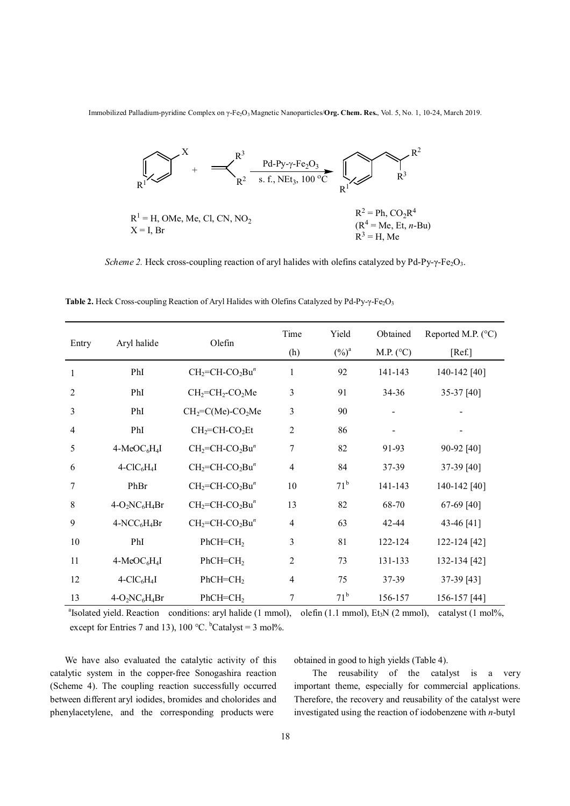

*Scheme 2.* Heck cross-coupling reaction of aryl halides with olefins catalyzed by Pd-Py-γ-Fe<sub>2</sub>O<sub>3</sub>.

**Table 2.** Heck Cross-coupling Reaction of Aryl Halides with Olefins Catalyzed by Pd-Py-γ-Fe<sub>2</sub>O<sub>3</sub>

|                |                  |                   | Time                    | Yield        | Obtained           | Reported M.P. $(^{\circ}C)$ |
|----------------|------------------|-------------------|-------------------------|--------------|--------------------|-----------------------------|
| Entry          | Aryl halide      | Olefin            | (h)                     | $(\%)^a$     | M.P. $(^{\circ}C)$ | [Ref.]                      |
| 1              | PhI              | $CH2=CH-CO2Bun$   | $\mathbf{1}$            | 92           | 141-143            | 140-142 [40]                |
| $\overline{2}$ | PhI              | $CH2=CH2-CO2Me$   | $\overline{3}$          | 91           | 34-36              | 35-37 [40]                  |
| 3              | PhI              | $CH2=C(Me)-CO2Me$ | 3                       | 90           |                    |                             |
| 4              | PhI              | $CH2=CH-CO2Et$    | $\overline{2}$          | 86           |                    |                             |
| 5              | $4-MeOC6H4I$     | $CH2=CH-CO2Bun$   | $\boldsymbol{7}$        | 82           | 91-93              | 90-92 [40]                  |
| 6              | $4-CIC6H4I$      | $CH2=CH-CO2Bun$   | $\overline{4}$          | 84           | 37-39              | 37-39 [40]                  |
| 7              | PhBr             | $CH2=CH-CO2Bun$   | 10                      | $71^{\rm b}$ | 141-143            | 140-142 [40]                |
| 8              | $4-O_2NC_6H_4Br$ | $CH2=CH-CO2Bun$   | 13                      | 82           | 68-70              | 67-69 [40]                  |
| 9              | $4-NCC_6H_4Br$   | $CH2=CH-CO2Bun$   | $\overline{4}$          | 63           | 42-44              | 43-46 [41]                  |
| 10             | PhI              | $PhCH=CH2$        | $\overline{\mathbf{3}}$ | 81           | 122-124            | 122-124 [42]                |
| 11             | $4-MeOC6H4I$     | $PhCH=CH2$        | $\overline{2}$          | 73           | 131-133            | 132-134 [42]                |
| 12             | $4-CIC6H4I$      | $PhCH=CH2$        | 4                       | 75           | 37-39              | 37-39 [43]                  |
| 13             | $4-O_2NC_6H_4Br$ | $PhCH=CH2$        | $\overline{7}$          | $71^{\rm b}$ | 156-157            | 156-157 [44]                |

<sup>a</sup>Isolated yield. Reaction conditions: aryl halide (1 mmol), olefin (1.1 mmol), Et<sub>3</sub>N (2 mmol), catalyst (1 mol%, except for Entries 7 and 13), 100 °C.  $^{b}$ Catalyst = 3 mol%.

 We have also evaluated the catalytic activity of this catalytic system in the copper-free Sonogashira reaction (Scheme 4). The coupling reaction successfully occurred between different aryl iodides, bromides and cholorides and phenylacetylene, and the corresponding products were

obtained in good to high yields (Table 4).

 The reusability of the catalyst is a very important theme, especially for commercial applications. Therefore, the recovery and reusability of the catalyst were investigated using the reaction of iodobenzene with *n*-butyl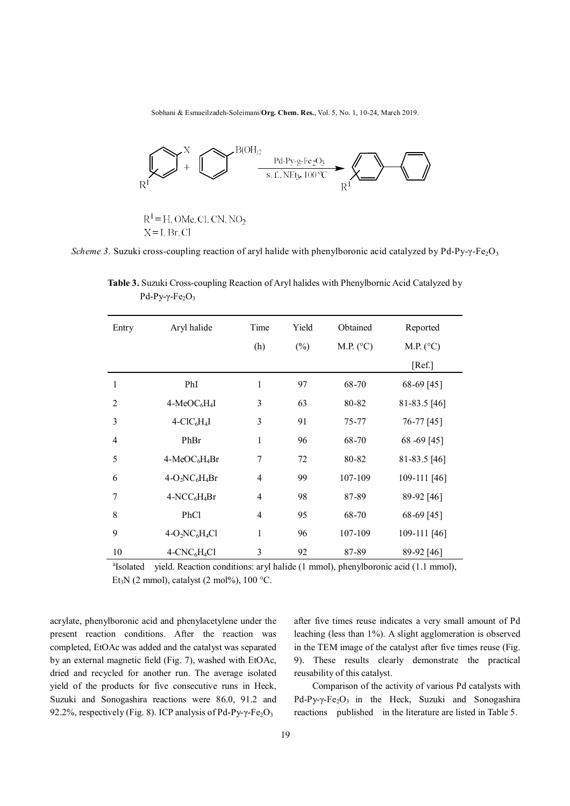Sobhani & Esmaeilzadeh-Soleimani/**Org. Chem. Res.**, Vol. 5, No. 1, 10-24, March 2019.



 $R^1$  = H, OMe, Cl, CN, NO<sub>2</sub>  $X = I$ , Br, Cl

*Scheme 3.* Suzuki cross-coupling reaction of aryl halide with phenylboronic acid catalyzed by Pd-Py-γ-Fe<sub>2</sub>O<sub>3</sub>

 **Table 3.** Suzuki Cross-coupling Reaction of Aryl halides with Phenylbornic Acid Catalyzed by Pd-Py-γ-Fe<sub>2</sub>O<sub>3</sub>

| Entry          | Aryl halide                             | Time           | Yield  | Obtained           | Reported           |
|----------------|-----------------------------------------|----------------|--------|--------------------|--------------------|
|                |                                         | (h)            | $(\%)$ | M.P. $(^{\circ}C)$ | M.P. $(^{\circ}C)$ |
|                |                                         |                |        |                    | [Ref.]             |
| 1              | PhI                                     | 1              | 97     | 68-70              | 68-69 [45]         |
| $\overline{2}$ | $4-MeOC6H4I$                            | 3              | 63     | 80-82              | $81-83.5$ [46]     |
| 3              | $4-CIC6H4I$                             | 3              | 91     | 75-77              | 76-77 [45]         |
| $\overline{4}$ | PhBr                                    | $\mathbf{1}$   | 96     | 68-70              | 68 - 69 [45]       |
| 5              | $4-MeOC6H4Br$                           | $\sqrt{ }$     | 72     | 80-82              | $81-83.5$ [46]     |
| 6              | $4-O_2NC_6H_4Br$                        | $\overline{4}$ | 99     | 107-109            | 109-111 [46]       |
| 7              | $4-NCC_6H_4Br$                          | $\overline{4}$ | 98     | 87-89              | 89-92 [46]         |
| 8              | <b>PhCl</b>                             | $\overline{4}$ | 95     | 68-70              | 68-69 [45]         |
| 9              | $4-O_2NC_6H_4Cl$                        | 1              | 96     | 107-109            | 109-111 [46]       |
| 10             | $4$ -CNC <sub>6</sub> H <sub>4</sub> Cl | 3              | 92     | 87-89              | 89-92 [46]         |

a a shekarar ta 1970 a tsannin a tsannin a tsannin a tsannin a tsannin a tsannin a tsannin a tsannin a tsannin <sup>a</sup>Isolated yield. Reaction conditions: aryl halide (1 mmol), phenylboronic acid (1.1 mmol), Et<sub>3</sub>N (2 mmol), catalyst (2 mol%), 100 °C.

acrylate, phenylboronic acid and phenylacetylene under the present reaction conditions. After the reaction was completed, EtOAc was added and the catalyst was separated by an external magnetic field (Fig. 7), washed with EtOAc, dried and recycled for another run. The average isolated yield of the products for five consecutive runs in Heck, Suzuki and Sonogashira reactions were 86.0, 91.2 and 92.2%, respectively (Fig. 8). ICP analysis of Pd-Py- $\gamma$ -Fe<sub>2</sub>O<sub>3</sub>

after five times reuse indicates a very small amount of Pd leaching (less than 1%). A slight agglomeration is observed in the TEM image of the catalyst after five times reuse (Fig. 9). These results clearly demonstrate the practical reusability of this catalyst.

 Comparison of the activity of various Pd catalysts with Pd-Py- $\gamma$ -Fe<sub>2</sub>O<sub>3</sub> in the Heck, Suzuki and Sonogashira reactions published in the literature are listed in Table 5.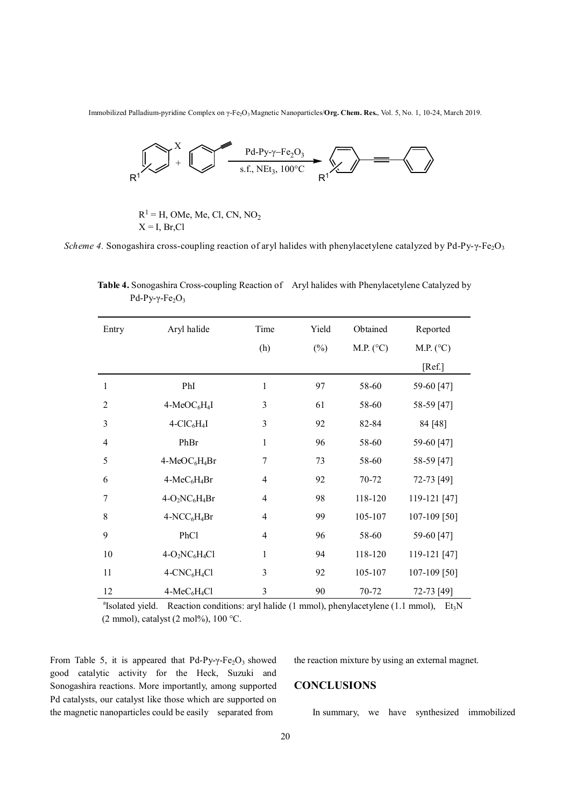

 $R<sup>1</sup>$  = H, OMe, Me, Cl, CN, NO<sub>2</sub>  $X = I$ , Br, Cl

*Scheme 4.* Sonogashira cross-coupling reaction of aryl halides with phenylacetylene catalyzed by Pd-Py-γ-Fe<sub>2</sub>O<sub>3</sub>

| Entry          | Aryl halide                          | Time           | Yield  | Obtained           | Reported     |
|----------------|--------------------------------------|----------------|--------|--------------------|--------------|
|                |                                      | (h)            | $(\%)$ | M.P. $(^{\circ}C)$ | M.P. (°C)    |
|                |                                      |                |        |                    | [Ref.]       |
| 1              | PhI                                  | $\mathbf{1}$   | 97     | 58-60              | 59-60 [47]   |
| $\overline{2}$ | 4-MeOC <sub>6</sub> H <sub>4</sub> I | $\overline{3}$ | 61     | 58-60              | 58-59 [47]   |
| 3              | $4-CIC6H4I$                          | $\overline{3}$ | 92     | 82-84              | 84 [48]      |
| 4              | PhBr                                 | $\mathbf{1}$   | 96     | 58-60              | 59-60 [47]   |
| 5              | $4-MeOC6H4Br$                        | $\overline{7}$ | 73     | 58-60              | 58-59 [47]   |
| 6              | 4-MeC <sub>6</sub> H <sub>4</sub> Br | $\overline{4}$ | 92     | 70-72              | 72-73 [49]   |
| 7              | $4-O_2NC_6H_4Br$                     | $\overline{4}$ | 98     | 118-120            | 119-121 [47] |
| 8              | $4-NCC_6H_4Br$                       | $\overline{4}$ | 99     | 105-107            | 107-109 [50] |
| 9              | PhCl                                 | $\overline{4}$ | 96     | 58-60              | 59-60 [47]   |
| 10             | $4-O_2NC_6H_4Cl$                     | $\mathbf{1}$   | 94     | 118-120            | 119-121 [47] |
| 11             | 4-CNC <sub>6</sub> H <sub>4</sub> Cl | 3              | 92     | 105-107            | 107-109 [50] |
| 12             | $4-MeC6H4Cl$                         | $\overline{3}$ | 90     | 70-72              | 72-73 [49]   |

 **Table 4.** Sonogashira Cross-coupling Reaction of Aryl halides with Phenylacetylene Catalyzed by Pd-Py-γ-Fe<sub>2</sub>O<sub>3</sub>

a a shekarar 1992 <sup>a</sup>Isolated yield. Reaction conditions: aryl halide (1 mmol), phenylacetylene (1.1 mmol), Et<sub>3</sub>N (2 mmol), catalyst (2 mol%),  $100 °C$ .

From Table 5, it is appeared that Pd-Py- $\gamma$ -Fe<sub>2</sub>O<sub>3</sub> showed good catalytic activity for the Heck, Suzuki and Sonogashira reactions. More importantly, among supported Pd catalysts, our catalyst like those which are supported on the magnetic nanoparticles could be easily separated from

the reaction mixture by using an external magnet.

## **CONCLUSIONS**

In summary, we have synthesized immobilized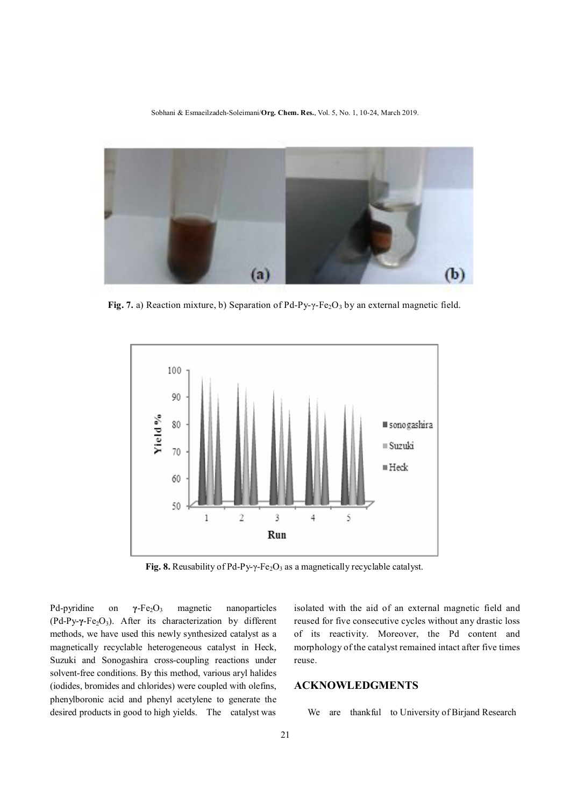Sobhani & Esmaeilzadeh-Soleimani/**Org. Chem. Res.**, Vol. 5, No. 1, 10-24, March 2019.



Fig. 7. a) Reaction mixture, b) Separation of Pd-Py-γ-Fe<sub>2</sub>O<sub>3</sub> by an external magnetic field.



Fig. 8. Reusability of Pd-Py-γ-Fe<sub>2</sub>O<sub>3</sub> as a magnetically recyclable catalyst.

Pd-pyridine on γ-Fe<sub>2</sub>O<sub>3</sub> magnetic nanoparticles (Pd-Py-**γ**-Fe2O3). After its characterization by different methods, we have used this newly synthesized catalyst as a magnetically recyclable heterogeneous catalyst in Heck, Suzuki and Sonogashira cross-coupling reactions under solvent-free conditions. By this method, various aryl halides (iodides, bromides and chlorides) were coupled with olefins, phenylboronic acid and phenyl acetylene to generate the desired products in good to high yields. The catalyst was

isolated with the aid of an external magnetic field and reused for five consecutive cycles without any drastic loss of its reactivity. Moreover, the Pd content and morphology of the catalyst remained intact after five times reuse.

## **ACKNOWLEDGMENTS**

We are thankful to University of Birjand Research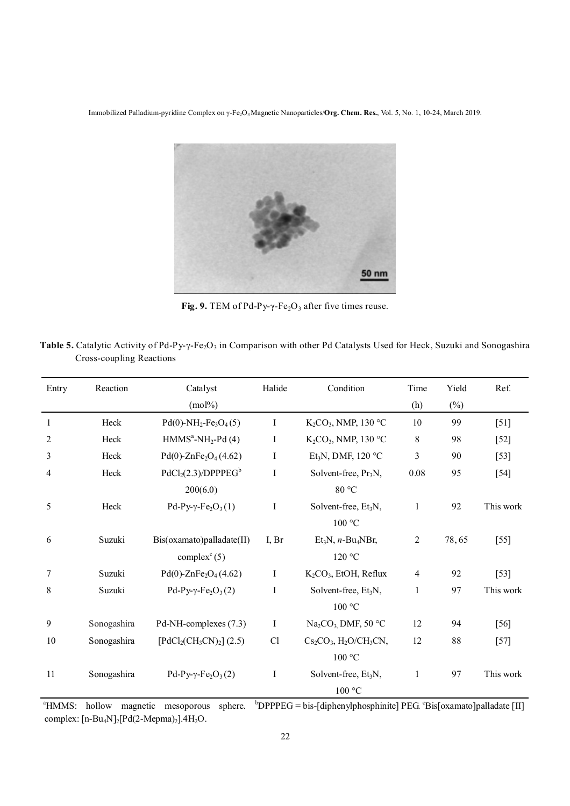

Fig. 9. TEM of Pd-Py-γ-Fe<sub>2</sub>O<sub>3</sub> after five times reuse.

| Entry | Reaction    | Catalyst                                                     | Halide      | Condition                                         | Time     | Yield  | Ref.      |
|-------|-------------|--------------------------------------------------------------|-------------|---------------------------------------------------|----------|--------|-----------|
|       |             | $(mol\%)$                                                    |             |                                                   | (h)      | $(\%)$ |           |
| 1     | Heck        | $Pd(0)$ -NH <sub>2</sub> -Fe <sub>3</sub> O <sub>4</sub> (5) | I           | $K2CO3$ , NMP, 130 °C                             | 10       | 99     | $[51]$    |
| 2     | Heck        | $HMMSa-NH2-Pd(4)$                                            | $\mathbf I$ | $K2CO3$ , NMP, 130 °C                             | 8        | 98     | $[52]$    |
| 3     | Heck        | Pd(0)-ZnFe <sub>2</sub> O <sub>4</sub> (4.62)                | $\mathbf I$ | Et <sub>3</sub> N, DMF, 120 $\degree$ C           | 3        | 90     | $[53]$    |
| 4     | Heck        | $PdCl2(2.3)/DPPPEGb$                                         | $\bf I$     | Solvent-free, Pr <sub>3</sub> N,                  | $0.08\,$ | 95     | $[54]$    |
|       |             | 200(6.0)                                                     |             | 80 °C                                             |          |        |           |
| 5     | Heck        | Pd-Py- $\gamma$ -Fe <sub>2</sub> O <sub>3</sub> (1)          | I           | Solvent-free, Et <sub>3</sub> N,                  | 1        | 92     | This work |
|       |             |                                                              |             | 100 °C                                            |          |        |           |
| 6     | Suzuki      | Bis(oxamato)palladate(II)                                    | I, Br       | $Et_3N$ , <i>n</i> -Bu <sub>4</sub> NBr,          | 2        | 78,65  | $[55]$    |
|       |             | complex <sup>c</sup> $(5)$                                   |             | 120 °C                                            |          |        |           |
| 7     | Suzuki      | Pd(0)-ZnFe <sub>2</sub> O <sub>4</sub> (4.62)                | I           | $K2CO3$ , EtOH, Reflux                            | 4        | 92     | $[53]$    |
| 8     | Suzuki      | Pd-Py- $\gamma$ -Fe <sub>2</sub> O <sub>3</sub> (2)          | $\bf I$     | Solvent-free, Et <sub>3</sub> N,                  | 1        | 97     | This work |
|       |             |                                                              |             | 100 °C                                            |          |        |           |
| 9     | Sonogashira | Pd-NH-complexes (7.3)                                        | Ι           | $Na2CO3$ DMF, 50 °C                               | 12       | 94     | $[56]$    |
| 10    | Sonogashira | $[PdCl_2(CH_3CN)_2]$ (2.5)                                   | Cl          | $Cs_2CO_3$ , H <sub>2</sub> O/CH <sub>3</sub> CN, | 12       | 88     | $[57]$    |
|       |             |                                                              |             | 100 °C                                            |          |        |           |
| 11    | Sonogashira | Pd-Py- $\gamma$ -Fe <sub>2</sub> O <sub>3</sub> (2)          | I           | Solvent-free, Et <sub>3</sub> N,                  | 1        | 97     | This work |
|       |             |                                                              |             | 100 °C                                            |          |        |           |

Table 5. Catalytic Activity of Pd-Py-γ-Fe<sub>2</sub>O<sub>3</sub> in Comparison with other Pd Catalysts Used for Heck, Suzuki and Sonogashira Cross-coupling Reactions

<sup>a</sup>HMMS: hollow magnetic mesoporous sphere. <sup>b</sup>DPPPEG = bis-[diphenylphosphinite] PEG. <sup>c</sup>Bis[oxamato]palladate [II] complex:  $[n-Bu_4N]_2[Pd(2-Mepma)_2].4H_2O$ .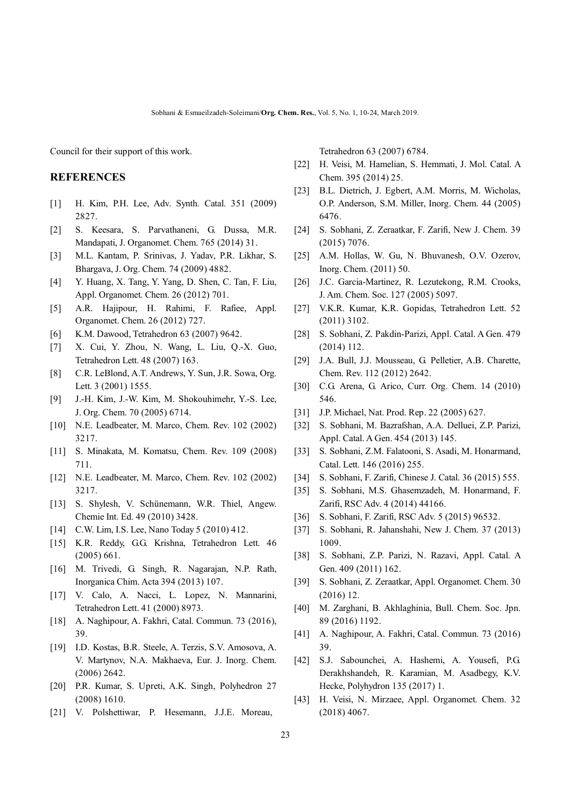Council for their support of this work.

#### **REFERENCES**

- [1] H. Kim, P.H. Lee, Adv. Synth. Catal. 351 (2009) 2827.
- [2] S. Keesara, S. Parvathaneni, G. Dussa, M.R. Mandapati, J. Organomet. Chem. 765 (2014) 31.
- [3] M.L. Kantam, P. Srinivas, J. Yadav, P.R. Likhar, S. Bhargava, J. Org. Chem. 74 (2009) 4882.
- [4] Y. Huang, X. Tang, Y. Yang, D. Shen, C. Tan, F. Liu, Appl. Organomet. Chem. 26 (2012) 701.
- [5] A.R. Hajipour, H. Rahimi, F. Rafiee, Appl. Organomet. Chem. 26 (2012) 727.
- [6] K.M. Dawood, Tetrahedron 63 (2007) 9642.
- [7] X. Cui, Y. Zhou, N. Wang, L. Liu, Q.-X. Guo, Tetrahedron Lett. 48 (2007) 163.
- [8] C.R. LeBlond, A.T. Andrews, Y. Sun, J.R. Sowa, Org. Lett. 3 (2001) 1555.
- [9] J.-H. Kim, J.-W. Kim, M. Shokouhimehr, Y.-S. Lee, J. Org. Chem. 70 (2005) 6714.
- [10] N.E. Leadbeater, M. Marco, Chem. Rev. 102 (2002) 3217.
- [11] S. Minakata, M. Komatsu, Chem. Rev. 109 (2008) 711.
- [12] N.E. Leadbeater, M. Marco, Chem. Rev. 102 (2002) 3217.
- [13] S. Shylesh, V. Schünemann, W.R. Thiel, Angew. Chemie Int. Ed. 49 (2010) 3428.
- [14] C.W. Lim, I.S. Lee, Nano Today 5 (2010) 412.
- [15] K.R. Reddy, G.G. Krishna, Tetrahedron Lett. 46 (2005) 661.
- [16] M. Trivedi, G. Singh, R. Nagarajan, N.P. Rath, Inorganica Chim. Acta 394 (2013) 107.
- [17] V. Calo, A. Nacci, L. Lopez, N. Mannarini, Tetrahedron Lett. 41 (2000) 8973.
- [18] A. Naghipour, A. Fakhri, Catal. Commun. 73 (2016), 39.
- [19] I.D. Kostas, B.R. Steele, A. Terzis, S.V. Amosova, A. V. Martynov, N.A. Makhaeva, Eur. J. Inorg. Chem. (2006) 2642.
- [20] P.R. Kumar, S. Upreti, A.K. Singh, Polyhedron 27 (2008) 1610.
- [21] V. Polshettiwar, P. Hesemann, J.J.E. Moreau,

Tetrahedron 63 (2007) 6784.

- [22] H. Veisi, M. Hamelian, S. Hemmati, J. Mol. Catal. A Chem. 395 (2014) 25.
- [23] B.L. Dietrich, J. Egbert, A.M. Morris, M. Wicholas, O.P. Anderson, S.M. Miller, Inorg. Chem. 44 (2005) 6476.
- [24] S. Sobhani, Z. Zeraatkar, F. Zarifi, New J. Chem. 39 (2015) 7076.
- [25] A.M. Hollas, W. Gu, N. Bhuvanesh, O.V. Ozerov, Inorg. Chem. (2011) 50.
- [26] J.C. Garcia-Martinez, R. Lezutekong, R.M. Crooks, J. Am. Chem. Soc. 127 (2005) 5097.
- [27] V.K.R. Kumar, K.R. Gopidas, Tetrahedron Lett. 52 (2011) 3102.
- [28] S. Sobhani, Z. Pakdin-Parizi, Appl. Catal. A Gen. 479 (2014) 112.
- [29] J.A. Bull, J.J. Mousseau, G. Pelletier, A.B. Charette, Chem. Rev. 112 (2012) 2642.
- [30] C.G. Arena, G. Arico, Curr. Org. Chem. 14 (2010) 546.
- [31] J.P. Michael, Nat. Prod. Rep. 22 (2005) 627.
- [32] S. Sobhani, M. Bazrafshan, A.A. Delluei, Z.P. Parizi, Appl. Catal. A Gen. 454 (2013) 145.
- [33] S. Sobhani, Z.M. Falatooni, S. Asadi, M. Honarmand, Catal. Lett. 146 (2016) 255.
- [34] S. Sobhani, F. Zarifi, Chinese J. Catal. 36 (2015) 555.
- [35] S. Sobhani, M.S. Ghasemzadeh, M. Honarmand, F. Zarifi, RSC Adv. 4 (2014) 44166.
- [36] S. Sobhani, F. Zarifi, RSC Adv. 5 (2015) 96532.
- [37] S. Sobhani, R. Jahanshahi, New J. Chem. 37 (2013) 1009.
- [38] S. Sobhani, Z.P. Parizi, N. Razavi, Appl. Catal. A Gen. 409 (2011) 162.
- [39] S. Sobhani, Z. Zeraatkar, Appl. Organomet. Chem. 30 (2016) 12.
- [40] M. Zarghani, B. Akhlaghinia, Bull. Chem. Soc. Jpn. 89 (2016) 1192.
- [41] A. Naghipour, A. Fakhri, Catal. Commun. 73 (2016) 39.
- [42] S.J. Sabounchei, A. Hashemi, A. Yousefi, P.G. Derakhshandeh, R. Karamian, M. Asadbegy, K.V. Hecke, Polyhydron 135 (2017) 1.
- [43] H. Veisi, N. Mirzaee, Appl. Organomet. Chem. 32 (2018) 4067.